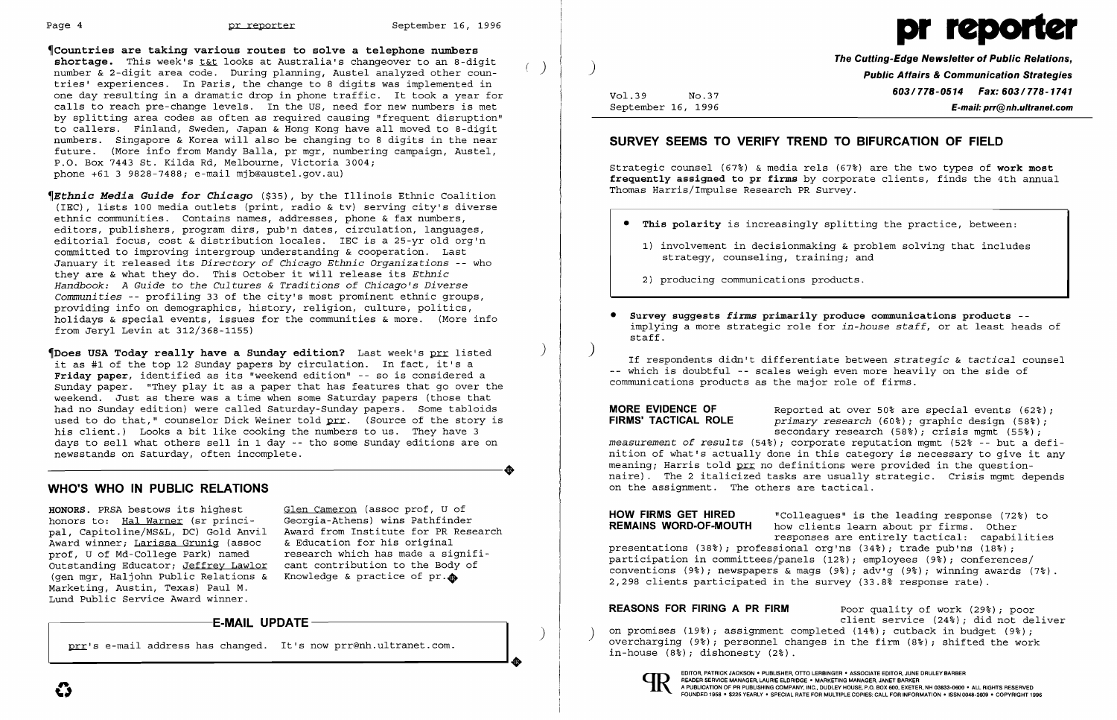

 $^{\circ}$ Countries are taking various routes to solve a telephone numbers shortage. This week's tat looks at Australia's changeover to an 8-digit shortage. This week's <u>t&t</u> looks at Australia's changeover to an 8-digit<br>number & 2-digit area code. During planning, Austel analyzed other countries' experiences. In Paris, the change to 8 digits was implemented in one day resulting in a dramatic drop in phone traffic. It took a year for calls to reach pre-change levels. In the US, need for new numbers is met by splitting area codes as often as required causing "frequent disruption" to callers. Finland, Sweden, Japan & Hong Kong have all moved to 8-digit numbers. Singapore & Korea will also be changing to 8 digits in the near future. (More info from Mandy Balla, pr mgr, numbering campaign, Austel, P.O. Box 7443 St. Kilda Rd, Melbourne, Victoria 3004; phone +61 3 9828-7488; e-mail mjb@austel.gov.au)

Thoes USA Today really have a Sunday edition? Last week's prr listed it as #1 of the top 12 Sunday papers by circulation. In fact, it's a Friday paper, identified as its "weekend edition" -- so is considered a Sunday paper. "They play it as a paper that has features that go over the weekend. Just as there was a time when some Saturday papers (those that had no Sunday edition) were called Saturday-Sunday papers. Some tabloids used to do that," counselor Dick Weiner told prr. (Source of the story is his client.) Looks a bit like cooking the numbers to us. They have 3 days to sell what others sell in 1 day -- tho some Sunday editions are on newsstands on Saturday, often incomplete. newsstands on Saturday, often incomplete.

~Etbnic *Media Guide for Chicago* (\$35), by the Illinois Ethnic Coalition (IEC) , lists 100 media outlets (print, radio & tv) serving city's diverse ethnic communities. Contains names, addresses, phone & fax numbers, editors, publishers, program dirs, pub'n dates, circulation, languages, editorial focus, cost & distribution locales. IEC is a 25-yr old org'n committed to improving intergroup understanding & cooperation. Last January it released its *Directory of Chicago Ethnic Organizations* -- who they are & what they do. This October it will release its *Ethnic Handbook: A Guide* to *the Cultures* & *Traditions of Chicago's Diverse Communities* -- profiling 33 of the city's most prominent ethnic groups, providing info on demographics, history, religion, culture, politics, Ī holidays & special events, issues for the communities & more. (More info from Jeryl Levin at 312/368-1155)

HONORS. PRSA bestows its highest Glen Cameron (assoc prof, U of honors to: Hal Warner (sr princi- Georgia-Athens) wins Pathfinder honors to: Hal Warner (sr princi-<br>pal, Capitoline/MS&L, DC) Gold Anvil Award winner; Larissa Grunig (assoc & Education for his original<br>prof, U of Md-College Park) named research which has made a signifiprof, U of Md-College Park) named research which has made a signifi<br>Outstanding Educator: Jeffrey Lawlor cant contribution to the Body of Outstanding Educator; Jeffrey Lawlor cant contribution to the Body (gen mgr, Haljohn Public Relations & Knowledge & practice of pr. (gen mgr, Haljohn Public Relations  $\&$ Marketing, Austin, Texas) Paul M. Lund Public Service Award winner.

Award from Institute for PR Research<br>& Education for his original

**MORE EVIDENCE OF** Reported at over 50% are special events (62%);<br>**FIRMS' TACTICAL ROLE** *primary research* (60%): graphic design (58%): primary research (60%); graphic design (58%); secondary research (58%); crisis mqmt (55%); *measurement of results* (54%); corporate reputation mgmt (52% -- but a definition of what's actually done in this category is necessary to give it any meaning; Harris told prr no definitions were provided in the questionnaire). The 2 italicized tasks are usually strategic. Crisis mgmt depends on the assignment. The others are tactical.

### WHO'S WHO IN PUBLIC RELATIONS

**HOW FIRMS GET HIRED** "Colleagues" is the leading response (72%) to **REMAINS WORD-OF-MOUTH** how clients learn about pr firms. Other how clients learn about pr firms. Other responses are entirely tactical: capabilities presentations (38%); professional org'ns (34%); trade pub'ns (18%); participation in committees/panels (12%); employees (9%); conferences/ conventions (9%); newspapers & mags (9%); adv'g (9%); winning awards (7%) 2,298 clients participated in the survey (33.8% response rate).

REASONS FOR FIRING A PR FIRM Poor quality of work (29%); poor client service (24%); did not deliver<br>on promises (19%); assignment completed (14%); cutback in budget (9%); overcharging (9%); personnel changes in the firm (8%); shifted the work in-house (8%) *;* dishonesty (2%).



 $\big)$ 

# .-----------E-MAIL UPDATE •

prr's e-mail address has changed. It's now prr@nh.ultranet.com.

## The Cutting-Edge Newsletter of Public Relations, ) Public Affairs & Communication Strategies Vol.39 No.37 **603/778-0514 Fax: 603/778-1741** September 16, 1996 E-mail: prr@nh.ultranet.com

### SURVEY SEEMS TO VERIFY TREND TO BIFURCATION OF FIELD

Strategic counsel (67%) & media rels (67%) are the two types of work most frequently assigned to pr firms by corporate clients, finds the 4th annual Thomas Harris/Impulse Research PR Survey.

• This polarity is increasingly splitting the practice, between:

1) involvement in decisionmaking & problem solving that includes

- - strategy, counseling, training; and

2) producing communications products.

• Survey suggests *firms* primarily produce communications products implying a more strategic role for *in-house staff,* or at least heads of

staff.

) If respondents didn't differentiate between *strategic* & *tactical* counsel -- which is doubtful -- scales weigh even more heavily on the side of communications products as the major role of firms.